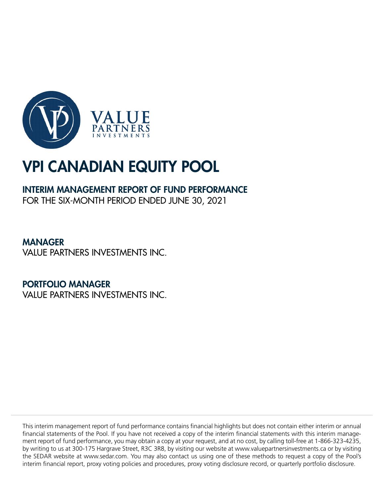

# VPI CANADIAN EQUITY POOL

## INTERIM MANAGEMENT REPORT OF FUND PERFORMANCE

FOR THE SIX-MONTH PERIOD ENDED JUNE 30, 2021

MANAGER VALUE PARTNERS INVESTMENTS INC.

PORTFOLIO MANAGER

VALUE PARTNERS INVESTMENTS INC.

This interim management report of fund performance contains financial highlights but does not contain either interim or annual financial statements of the Pool. If you have not received a copy of the interim financial statements with this interim management report of fund performance, you may obtain a copy at your request, and at no cost, by calling toll-free at 1-866-323-4235, by writing to us at 300-175 Hargrave Street, R3C 3R8, by visiting our website at www.valuepartnersinvestments.ca or by visiting the SEDAR website at www.sedar.com. You may also contact us using one of these methods to request a copy of the Pool's interim financial report, proxy voting policies and procedures, proxy voting disclosure record, or quarterly portfolio disclosure.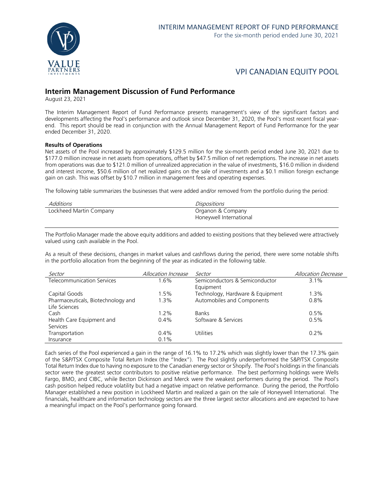

### VPI CANADIAN EQUITY POOL

### **Interim Management Discussion of Fund Performance**

August 23, 2021

The Interim Management Report of Fund Performance presents management's view of the significant factors and developments affecting the Pool's performance and outlook since December 31, 2020, the Pool's most recent fiscal yearend. This report should be read in conjunction with the Annual Management Report of Fund Performance for the year ended December 31, 2020.

#### **Results of Operations**

Net assets of the Pool increased by approximately \$129.5 million for the six-month period ended June 30, 2021 due to \$177.0 million increase in net assets from operations, offset by \$47.5 million of net redemptions. The increase in net assets from operations was due to \$121.0 million of unrealized appreciation in the value of investments, \$16.0 million in dividend and interest income, \$50.6 million of net realized gains on the sale of investments and a \$0.1 million foreign exchange gain on cash. This was offset by \$10.7 million in management fees and operating expenses.

The following table summarizes the businesses that were added and/or removed from the portfolio during the period:

| Additions               | Dispositions            |
|-------------------------|-------------------------|
| Lockheed Martin Company | Organon & Company       |
|                         | Honeywell International |

The Portfolio Manager made the above equity additions and added to existing positions that they believed were attractively valued using cash available in the Pool.

As a result of these decisions, changes in market values and cashflows during the period, there were some notable shifts in the portfolio allocation from the beginning of the year as indicated in the following table.

| Sector                             | Allocation Increase | Sector                           | Allocation Decrease |
|------------------------------------|---------------------|----------------------------------|---------------------|
| Telecommunication Services         | $.6\%$              | Semiconductors & Semiconductor   | 3.1%                |
|                                    |                     | Equipment                        |                     |
| Capital Goods                      | 1.5%                | Technology, Hardware & Equipment | 1.3%                |
| Pharmaceuticals, Biotechnology and | 1.3%                | Automobiles and Components       | 0.8%                |
| Life Sciences                      |                     |                                  |                     |
| Cash                               | $1.2\%$             | <b>Banks</b>                     | 0.5%                |
| Health Care Equipment and          | $0.4\%$             | Software & Services              | 0.5%                |
| <b>Services</b>                    |                     |                                  |                     |
| Transportation                     | $0.4\%$             | Utilities                        | $0.2\%$             |
| Insurance                          | 0.1%                |                                  |                     |

Each series of the Pool experienced a gain in the range of 16.1% to 17.2% which was slightly lower than the 17.3% gain of the S&P/TSX Composite Total Return Index (the "Index"). The Pool slightly underperformed the S&P/TSX Composite Total Return Index due to having no exposure to the Canadian energy sector or Shopify. The Pool's holdings in the financials sector were the greatest sector contributors to positive relative performance. The best performing holdings were Wells Fargo, BMO, and CIBC, while Becton Dickinson and Merck were the weakest performers during the period. The Pool's cash position helped reduce volatility but had a negative impact on relative performance. During the period, the Portfolio Manager established a new position in Lockheed Martin and realized a gain on the sale of Honeywell International. The financials, healthcare and information technology sectors are the three largest sector allocations and are expected to have a meaningful impact on the Pool's performance going forward.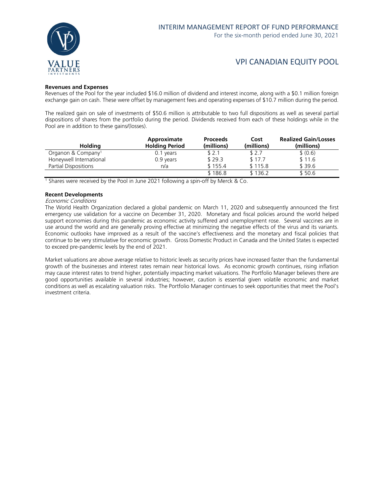

### VPI CANADIAN EQUITY POOL

### **Revenues and Expenses**

Revenues of the Pool for the year included \$16.0 million of dividend and interest income, along with a \$0.1 million foreign exchange gain on cash. These were offset by management fees and operating expenses of \$10.7 million during the period.

The realized gain on sale of investments of \$50.6 million is attributable to two full dispositions as well as several partial dispositions of shares from the portfolio during the period. Dividends received from each of these holdings while in the Pool are in addition to these gains/(losses).

| <b>Holding</b>                 | Approximate<br><b>Holding Period</b> | <b>Proceeds</b><br>(millions) | Cost<br>(millions) | <b>Realized Gain/Losses</b><br>(millions) |
|--------------------------------|--------------------------------------|-------------------------------|--------------------|-------------------------------------------|
| Organon & Company <sup>1</sup> | 0.1 years                            | \$2.1                         | \$ 2.7             | \$ (0.6)                                  |
| Honeywell International        | 0.9 years                            | \$29.3                        | \$17.7             | \$11.6                                    |
| Partial Dispositions           | n/a                                  | \$155.4                       | \$115.8            | \$39.6                                    |
|                                |                                      | \$186.8                       | \$136.2            | \$50.6                                    |

<sup>1</sup> Shares were received by the Pool in June 2021 following a spin-off by Merck & Co.

#### **Recent Developments**

#### Economic Conditions

The World Health Organization declared a global pandemic on March 11, 2020 and subsequently announced the first emergency use validation for a vaccine on December 31, 2020. Monetary and fiscal policies around the world helped support economies during this pandemic as economic activity suffered and unemployment rose. Several vaccines are in use around the world and are generally proving effective at minimizing the negative effects of the virus and its variants. Economic outlooks have improved as a result of the vaccine's effectiveness and the monetary and fiscal policies that continue to be very stimulative for economic growth. Gross Domestic Product in Canada and the United States is expected to exceed pre-pandemic levels by the end of 2021.

Market valuations are above average relative to historic levels as security prices have increased faster than the fundamental growth of the businesses and interest rates remain near historical lows. As economic growth continues, rising inflation may cause interest rates to trend higher, potentially impacting market valuations. The Portfolio Manager believes there are good opportunities available in several industries; however, caution is essential given volatile economic and market conditions as well as escalating valuation risks. The Portfolio Manager continues to seek opportunities that meet the Pool's investment criteria.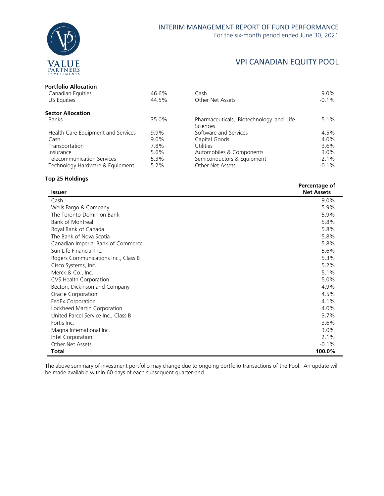

### VPI CANADIAN EQUITY POOL

### **Portfolio Allocation**

| Canadian Equities                  | 46.6%   | Cash                                    | $9.0\%$ |
|------------------------------------|---------|-----------------------------------------|---------|
| US Equities                        | 44.5%   | Other Net Assets                        | $-0.1%$ |
| <b>Sector Allocation</b>           |         |                                         |         |
| Banks                              | 35.0%   | Pharmaceuticals, Biotechnology and Life | $5.1\%$ |
|                                    |         | <b>Sciences</b>                         |         |
| Health Care Equipment and Services | $9.9\%$ | Software and Services                   | 4.5%    |
| Cash                               | $9.0\%$ | Capital Goods                           | 4.0%    |
| Transportation                     | 7.8%    | <b>Utilities</b>                        | $3.6\%$ |
| Insurance                          | 5.6%    | Automobiles & Components                | $3.0\%$ |
| <b>Telecommunication Services</b>  | 5.3%    | Semiconductors & Equipment              | 2.1%    |
| Technology Hardware & Equipment    | $5.2\%$ | Other Net Assets                        | $-0.1%$ |
|                                    |         |                                         |         |

### **Top 25 Holdings**

| <b>Issuer</b>                       | Percentage of<br><b>Net Assets</b> |
|-------------------------------------|------------------------------------|
| Cash                                | 9.0%                               |
| Wells Fargo & Company               | 5.9%                               |
| The Toronto-Dominion Bank           | 5.9%                               |
| <b>Bank of Montreal</b>             | 5.8%                               |
| Royal Bank of Canada                | 5.8%                               |
| The Bank of Nova Scotia             | 5.8%                               |
| Canadian Imperial Bank of Commerce  | 5.8%                               |
| Sun Life Financial Inc.             | 5.6%                               |
| Rogers Communications Inc., Class B | 5.3%                               |
| Cisco Systems, Inc.                 | 5.2%                               |
| Merck & Co., Inc.                   | 5.1%                               |
| CVS Health Corporation              | 5.0%                               |
| Becton, Dickinson and Company       | 4.9%                               |
| Oracle Corporation                  | 4.5%                               |
| FedEx Corporation                   | 4.1%                               |
| Lockheed Martin Corporation         | 4.0%                               |
| United Parcel Service Inc., Class B | 3.7%                               |
| Fortis Inc.                         | 3.6%                               |
| Magna International Inc.            | 3.0%                               |
| Intel Corporation                   | 2.1%                               |
| Other Net Assets                    | $-0.1%$                            |
| Total                               | 100.0%                             |

The above summary of investment portfolio may change due to ongoing portfolio transactions of the Pool. An update will be made available within 60 days of each subsequent quarter-end.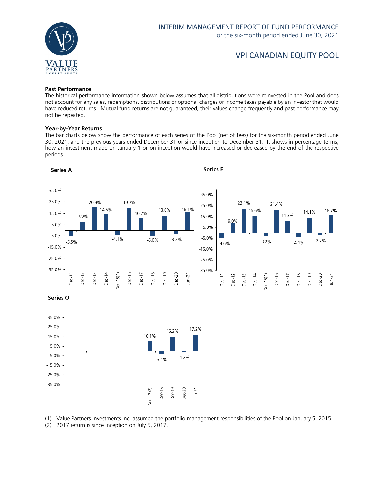

### VPI CANADIAN EQUITY POOL

### **Past Performance**

The historical performance information shown below assumes that all distributions were reinvested in the Pool and does not account for any sales, redemptions, distributions or optional charges or income taxes payable by an investor that would have reduced returns. Mutual fund returns are not guaranteed, their values change frequently and past performance may not be repeated.

#### **Year-by-Year Returns**

The bar charts below show the performance of each series of the Pool (net of fees) for the six-month period ended June 30, 2021, and the previous years ended December 31 or since inception to December 31. It shows in percentage terms, how an investment made on January 1 or on inception would have increased or decreased by the end of the respective periods.



(1) Value Partners Investments Inc. assumed the portfolio management responsibilities of the Pool on January 5, 2015.

(2) 2017 return is since inception on July 5, 2017.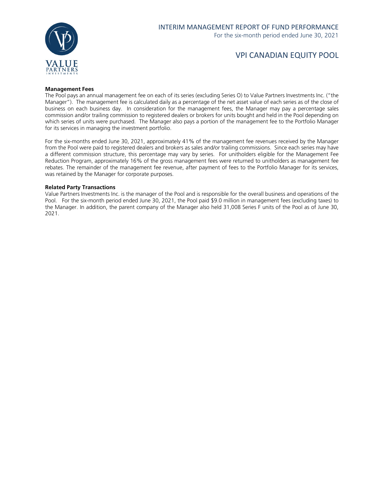

### VPI CANADIAN EQUITY POOL

#### **Management Fees**

The Pool pays an annual management fee on each of its series (excluding Series O) to Value Partners Investments Inc. ("the Manager"). The management fee is calculated daily as a percentage of the net asset value of each series as of the close of business on each business day. In consideration for the management fees, the Manager may pay a percentage sales commission and/or trailing commission to registered dealers or brokers for units bought and held in the Pool depending on which series of units were purchased. The Manager also pays a portion of the management fee to the Portfolio Manager for its services in managing the investment portfolio.

For the six-months ended June 30, 2021, approximately 41% of the management fee revenues received by the Manager from the Pool were paid to registered dealers and brokers as sales and/or trailing commissions. Since each series may have a different commission structure, this percentage may vary by series. For unitholders eligible for the Management Fee Reduction Program, approximately 16% of the gross management fees were returned to unitholders as management fee rebates. The remainder of the management fee revenue, after payment of fees to the Portfolio Manager for its services, was retained by the Manager for corporate purposes.

#### **Related Party Transactions**

Value Partners Investments Inc. is the manager of the Pool and is responsible for the overall business and operations of the Pool. For the six-month period ended June 30, 2021, the Pool paid \$9.0 million in management fees (excluding taxes) to the Manager. In addition, the parent company of the Manager also held 31,008 Series F units of the Pool as of June 30, 2021.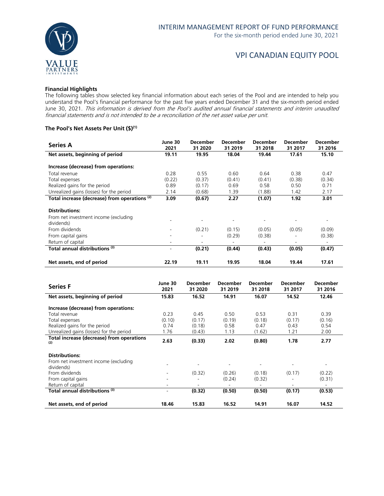

### VPI CANADIAN EQUITY POOL

#### **Financial Highlights**

The following tables show selected key financial information about each series of the Pool and are intended to help you understand the Pool's financial performance for the past five years ended December 31 and the six-month period ended June 30, 2021. This information is derived from the Pool's audited annual financial statements and interim unaudited financial statements and is not intended to be a reconciliation of the net asset value per unit.

### **The Pool's Net Assets Per Unit (\$)(1)**

| <b>Series A</b>                                     | June 30<br>2021          | <b>December</b><br>31 2020 | <b>December</b><br>31 2019 | December<br>31 2018 | <b>December</b><br>31 2017 | December<br>31 2016 |
|-----------------------------------------------------|--------------------------|----------------------------|----------------------------|---------------------|----------------------------|---------------------|
| Net assets, beginning of period                     | 19.11                    | 19.95                      | 18.04                      | 19.44               | 17.61                      | 15.10               |
| Increase (decrease) from operations:                |                          |                            |                            |                     |                            |                     |
| Total revenue                                       | 0.28                     | 0.55                       | 0.60                       | 0.64                | 0.38                       | 0.47                |
| Total expenses                                      | (0.22)                   | (0.37)                     | (0.41)                     | (0.41)              | (0.38)                     | (0.34)              |
| Realized gains for the period                       | 0.89                     | (0.17)                     | 0.69                       | 0.58                | 0.50                       | 0.71                |
| Unrealized gains (losses) for the period            | 2.14                     | (0.68)                     | 1.39                       | (1.88)              | 1.42                       | 2.17                |
| Total increase (decrease) from operations (2)       | 3.09                     | (0.67)                     | 2.27                       | (1.07)              | 1.92                       | 3.01                |
| <b>Distributions:</b>                               |                          |                            |                            |                     |                            |                     |
| From net investment income (excluding<br>dividends) |                          |                            |                            |                     |                            |                     |
| From dividends                                      | $\overline{\phantom{a}}$ | (0.21)                     | (0.15)                     | (0.05)              | (0.05)                     | (0.09)              |
| From capital gains                                  | ۰                        |                            | (0.29)                     | (0.38)              |                            | (0.38)              |
| Return of capital                                   | ۰                        |                            |                            |                     |                            |                     |
| Total annual distributions (3)                      | $\overline{\phantom{a}}$ | (0.21)                     | (0.44)                     | (0.43)              | (0.05)                     | (0.47)              |
| Net assets, end of period                           | 22.19                    | 19.11                      | 19.95                      | 18.04               | 19.44                      | 17.61               |

| <b>Series F</b>                                     | June 30<br>2021 | <b>December</b><br>31 2020 | <b>December</b><br>31 2019 | <b>December</b><br>31 2018 | <b>December</b><br>31 2017 | <b>December</b><br>31 2016 |
|-----------------------------------------------------|-----------------|----------------------------|----------------------------|----------------------------|----------------------------|----------------------------|
| Net assets, beginning of period                     | 15.83           | 16.52                      | 14.91                      | 16.07                      | 14.52                      | 12.46                      |
| Increase (decrease) from operations:                |                 |                            |                            |                            |                            |                            |
| Total revenue                                       | 0.23            | 0.45                       | 0.50                       | 0.53                       | 0.31                       | 0.39                       |
| Total expenses                                      | (0.10)          | (0.17)                     | (0.19)                     | (0.18)                     | (0.17)                     | (0.16)                     |
| Realized gains for the period                       | 0.74            | (0.18)                     | 0.58                       | 0.47                       | 0.43                       | 0.54                       |
| Unrealized gains (losses) for the period            | 1.76            | (0.43)                     | 1.13                       | (1.62)                     | 1.21                       | 2.00                       |
| Total increase (decrease) from operations<br>(2)    | 2.63            | (0.33)                     | 2.02                       | (0.80)                     | 1.78                       | 2.77                       |
| <b>Distributions:</b>                               |                 |                            |                            |                            |                            |                            |
| From net investment income (excluding<br>dividends) |                 |                            |                            |                            |                            |                            |
| From dividends                                      |                 | (0.32)                     | (0.26)                     | (0.18)                     | (0.17)                     | (0.22)                     |
| From capital gains                                  |                 |                            | (0.24)                     | (0.32)                     |                            | (0.31)                     |
| Return of capital                                   |                 | $\overline{\phantom{a}}$   | $\qquad \qquad$            |                            | ۰.                         |                            |
| Total annual distributions <sup>(3)</sup>           |                 | (0.32)                     | (0.50)                     | (0.50)                     | (0.17)                     | (0.53)                     |
| Net assets, end of period                           | 18.46           | 15.83                      | 16.52                      | 14.91                      | 16.07                      | 14.52                      |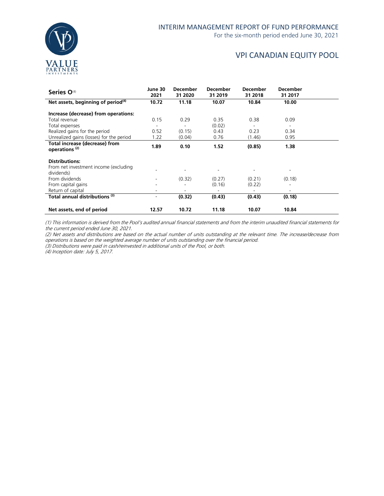

### VPI CANADIAN EQUITY POOL

| Series O <sup>(4)</sup>                                     | June 30<br>2021          | <b>December</b><br>31 2020 | <b>December</b><br>31 2019   | <b>December</b><br>31 2018 | <b>December</b><br>31 2017 |  |
|-------------------------------------------------------------|--------------------------|----------------------------|------------------------------|----------------------------|----------------------------|--|
| Net assets, beginning of period $(4)$                       | 10.72                    | 11.18                      | 10.07                        | 10.84                      | 10.00                      |  |
| Increase (decrease) from operations:                        |                          |                            |                              |                            |                            |  |
| Total revenue                                               | 0.15                     | 0.29                       | 0.35                         | 0.38                       | 0.09                       |  |
| Total expenses                                              | $\overline{\phantom{0}}$ |                            | (0.02)                       |                            |                            |  |
| Realized gains for the period                               | 0.52                     | (0.15)                     | 0.43                         | 0.23                       | 0.34                       |  |
| Unrealized gains (losses) for the period                    | 1.22                     | (0.04)                     | 0.76                         | (1.46)                     | 0.95                       |  |
| Total increase (decrease) from<br>operations <sup>(2)</sup> | 1.89                     | 0.10                       | 1.52                         | (0.85)                     | 1.38                       |  |
| <b>Distributions:</b>                                       |                          |                            |                              |                            |                            |  |
| From net investment income (excluding<br>dividends)         |                          |                            |                              |                            |                            |  |
| From dividends                                              |                          | (0.32)                     | (0.27)                       | (0.21)                     | (0.18)                     |  |
| From capital gains                                          | ۰                        |                            | (0.16)                       | (0.22)                     | ۰                          |  |
| Return of capital                                           | -                        |                            | $\qquad \qquad \blacksquare$ |                            |                            |  |
| Total annual distributions (3)                              | $\overline{\phantom{0}}$ | (0.32)                     | (0.43)                       | (0.43)                     | (0.18)                     |  |
| Net assets, end of period                                   | 12.57                    | 10.72                      | 11.18                        | 10.07                      | 10.84                      |  |

(1) This information is derived from the Pool's audited annual financial statements and from the interim unaudited financial statements for the current period ended June 30, 2021.

(2) Net assets and distributions are based on the actual number of units outstanding at the relevant time. The increase/decrease from operations is based on the weighted average number of units outstanding over the financial period.

(3) Distributions were paid in cash/reinvested in additional units of the Pool, or both.

(4) Inception date: July 5, 2017.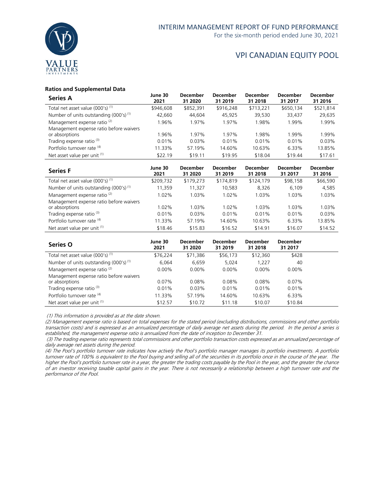

### VPI CANADIAN EQUITY POOL

### **Ratios and Supplemental Data**

| <b>Series A</b>                                    | June 30<br>2021 | <b>December</b><br>31 2020 | <b>December</b><br>31 2019 | <b>December</b><br>31 2018 | <b>December</b><br>31 2017 | <b>December</b><br>31 2016 |
|----------------------------------------------------|-----------------|----------------------------|----------------------------|----------------------------|----------------------------|----------------------------|
| Total net asset value (000's) <sup>(1)</sup>       | \$946,608       | \$852,391                  | \$916,248                  | \$713,221                  | \$650,134                  | \$521,814                  |
| Number of units outstanding (000's) <sup>(1)</sup> | 42,660          | 44.604                     | 45.925                     | 39,530                     | 33,437                     | 29,635                     |
| Management expense ratio <sup>(2)</sup>            | 1.96%           | 1.97%                      | 1.97%                      | 1.98%                      | 1.99%                      | 1.99%                      |
| Management expense ratio before waivers            |                 |                            |                            |                            |                            |                            |
| or absorptions                                     | 1.96%           | 1.97%                      | 1.97%                      | 1.98%                      | 1.99%                      | l.99%                      |
| Trading expense ratio <sup>(3)</sup>               | 0.01%           | 0.03%                      | 0.01%                      | 0.01%                      | 0.01%                      | 0.03%                      |
| Portfolio turnover rate (4)                        | 11.33%          | 57.19%                     | 14.60%                     | 10.63%                     | 6.33%                      | 13.85%                     |
| Net asset value per unit (1)                       | \$22.19         | \$19.11                    | \$19.95                    | \$18.04                    | \$19.44                    | \$17.61                    |

| <b>Series F</b>                              | June 30<br>2021 | <b>December</b><br>31 2020 | <b>December</b><br>31 2019 | <b>December</b><br>31 2018 | <b>December</b><br>31 2017 | <b>December</b><br>31 2016 |
|----------------------------------------------|-----------------|----------------------------|----------------------------|----------------------------|----------------------------|----------------------------|
| Total net asset value (000's) <sup>(1)</sup> | \$209,732       | \$179,273                  | \$174,819                  | \$124,179                  | \$98,158                   | \$66,590                   |
| Number of units outstanding $(000's)^{(1)}$  | 11,359          | 11,327                     | 10,583                     | 8,326                      | 6,109                      | 4,585                      |
| Management expense ratio <sup>(2)</sup>      | $1.02\%$        | 1.03%                      | $1.02\%$                   | 1.03%                      | 1.03%                      | 1.03%                      |
| Management expense ratio before waivers      |                 |                            |                            |                            |                            |                            |
| or absorptions                               | $1.02\%$        | 1.03%                      | $1.02\%$                   | 1.03%                      | 1.03%                      | 1.03%                      |
| Trading expense ratio <sup>(3)</sup>         | 0.01%           | 0.03%                      | 0.01%                      | 0.01%                      | 0.01%                      | 0.03%                      |
| Portfolio turnover rate (4)                  | 11.33%          | 57.19%                     | 14.60%                     | 10.63%                     | 6.33%                      | 13.85%                     |
| Net asset value per unit (1)                 | \$18.46         | \$15.83                    | \$16.52                    | \$14.91                    | \$16.07                    | \$14.52                    |

| <b>Series O</b>                             | June 30<br>2021 | <b>December</b><br>31 2020 | <b>December</b><br>31 2019 | <b>December</b><br>31 2018 | <b>December</b><br>31 2017 |  |
|---------------------------------------------|-----------------|----------------------------|----------------------------|----------------------------|----------------------------|--|
| Total net asset value $(000's)^{(1)}$       | \$76,224        | \$71,386                   | \$56,173                   | \$12,360                   | \$428                      |  |
| Number of units outstanding $(000's)^{(1)}$ | 6.064           | 6,659                      | 5.024                      | 1.227                      | 40                         |  |
| Management expense ratio <sup>(2)</sup>     | $0.00\%$        | $0.00\%$                   | $0.00\%$                   | $0.00\%$                   | $0.00\%$                   |  |
| Management expense ratio before waivers     |                 |                            |                            |                            |                            |  |
| or absorptions                              | $0.07\%$        | 0.08%                      | $0.08\%$                   | $0.08\%$                   | $0.07\%$                   |  |
| Trading expense ratio <sup>(3)</sup>        | $0.01\%$        | 0.03%                      | 0.01%                      | 0.01%                      | $0.01\%$                   |  |
| Portfolio turnover rate (4)                 | 11.33%          | 57.19%                     | 14.60%                     | 10.63%                     | 6.33%                      |  |
| Net asset value per unit (1)                | \$12.57         | \$10.72                    | \$11.18                    | \$10.07                    | \$10.84                    |  |

(1) This information is provided as at the date shown.

(2) Management expense ratio is based on total expenses for the stated period (excluding distributions, commissions and other portfolio transaction costs) and is expressed as an annualized percentage of daily average net assets during the period. In the period a series is established, the management expense ratio is annualized from the date of inception to December 31.

(3) The trading expense ratio represents total commissions and other portfolio transaction costs expressed as an annualized percentage of daily average net assets during the period.

(4) The Pool's portfolio turnover rate indicates how actively the Pool's portfolio manager manages its portfolio investments. A portfolio turnover rate of 100% is equivalent to the Pool buying and selling all of the securities in its portfolio once in the course of the year. The higher the Pool's portfolio turnover rate in a year, the greater the trading costs payable by the Pool in the year, and the greater the chance of an investor receiving taxable capital gains in the year. There is not necessarily a relationship between a high turnover rate and the performance of the Pool.